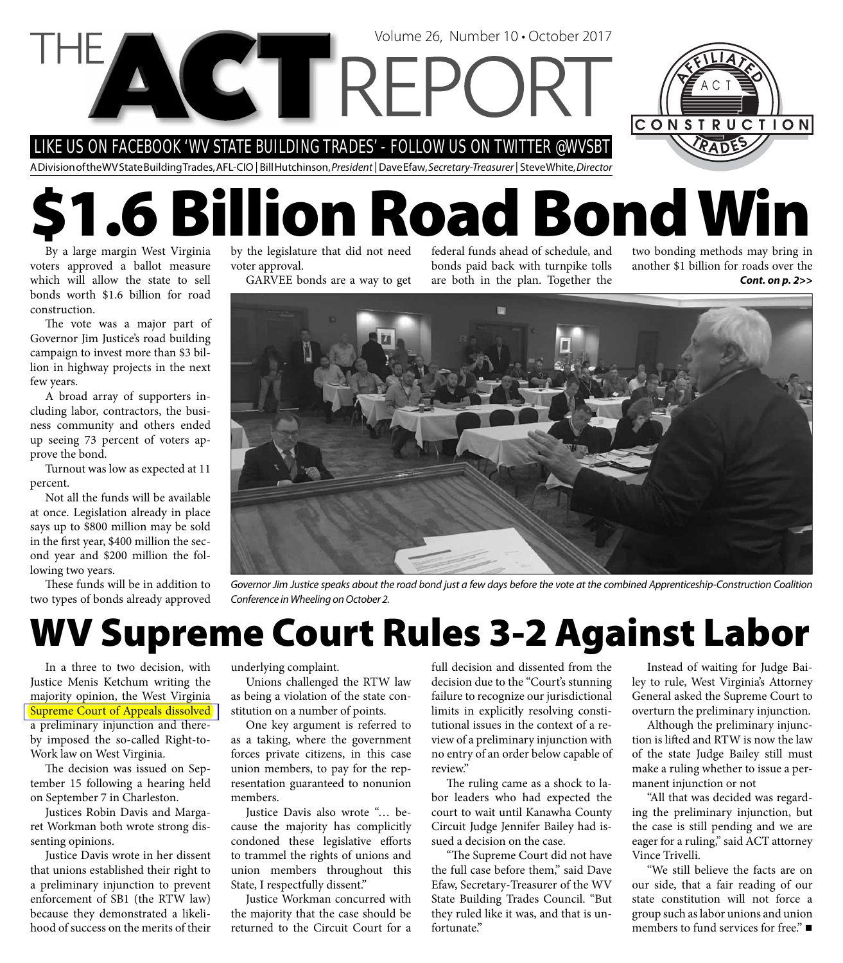LIKE US ON FACEBOOK 'WV STATE BUILDING TRADES' - FOLLOW US ON TWITTER @WVSBT

A Division of the WV State Building Trades, AFL-CIO | Bill Hutchinson, President | Dave Efaw, Secretary-Treasurer | Steve White, Director

**VCTREPC** 

# **\$1.6 Billion Road Bond Win**

By a large margin West Virginia voters approved a ballot measure which will allow the state to sell bonds worth \$1.6 billion for road construction.

The vote was a major part of Governor Jim Justice's road building campaign to invest more than \$3 billion in highway projects in the next few years.

A broad array of supporters including labor, contractors, the business community and others ended up seeing 73 percent of voters approve the bond.

Turnout was low as expected at 11 percent.

Not all the funds will be available at once. Legislation already in place says up to \$800 million may be sold in the first year, \$400 million the second year and \$200 million the following two years.

These funds will be in addition to two types of bonds already approved by the legislature that did not need voter approval.

GARVEE bonds are a way to get

federal funds ahead of schedule, and bonds paid back with turnpike tolls are both in the plan. Together the

面

Volume 26, Number 10 • October 2017

two bonding methods may bring in another \$1 billion for roads over the *Cont. on p. 2>>*

Governor Jim Justice speaks about the road bond just a few days before the vote at the combined Apprenticeship-Construction Coalition Conference in Wheeling on October 2.

### **WV Supreme Court Rules 3-2 Against Labor**

In a three to two decision, with Justice Menis Ketchum writing the majority opinion, the West Virginia **Supreme Court of Appeals dissolved** a preliminary injunction and thereby imposed the so-called Right-to-Work law on West Virginia.

The decision was issued on September 15 following a hearing held on September 7 in Charleston.

Justices Robin Davis and Margaret Workman both wrote strong dissenting opinions.

Justice Davis wrote in her dissent that unions established their right to a preliminary injunction to prevent enforcement of SB1 (the RTW law) because they demonstrated a likelihood of success on the merits of their underlying complaint.

Unions challenged the RTW law as being a violation of the state constitution on a number of points.

One key argument is referred to as a taking, where the government forces private citizens, in this case union members, to pay for the representation guaranteed to nonunion members.

Justice Davis also wrote "… because the majority has complicitly condoned these legislative efforts to trammel the rights of unions and union members throughout this State, I respectfully dissent."

Justice Workman concurred with the majority that the case should be returned to the Circuit Court for a full decision and dissented from the decision due to the "Court's stunning failure to recognize our jurisdictional limits in explicitly resolving constitutional issues in the context of a review of a preliminary injunction with no entry of an order below capable of review."

The ruling came as a shock to labor leaders who had expected the court to wait until Kanawha County Circuit Judge Jennifer Bailey had issued a decision on the case.

"The Supreme Court did not have the full case before them," said Dave Efaw, Secretary-Treasurer of the WV State Building Trades Council. "But they ruled like it was, and that is unfortunate."

Instead of waiting for Judge Bailey to rule, West Virginia's Attorney General asked the Supreme Court to overturn the preliminary injunction.

Although the preliminary injunction is lifted and RTW is now the law of the state Judge Bailey still must make a ruling whether to issue a permanent injunction or not

"All that was decided was regarding the preliminary injunction, but the case is still pending and we are eager for a ruling," said ACT attorney Vince Trivelli.

"We still believe the facts are on our side, that a fair reading of our state constitution will not force a group such as labor unions and union members to fund services for free." ■

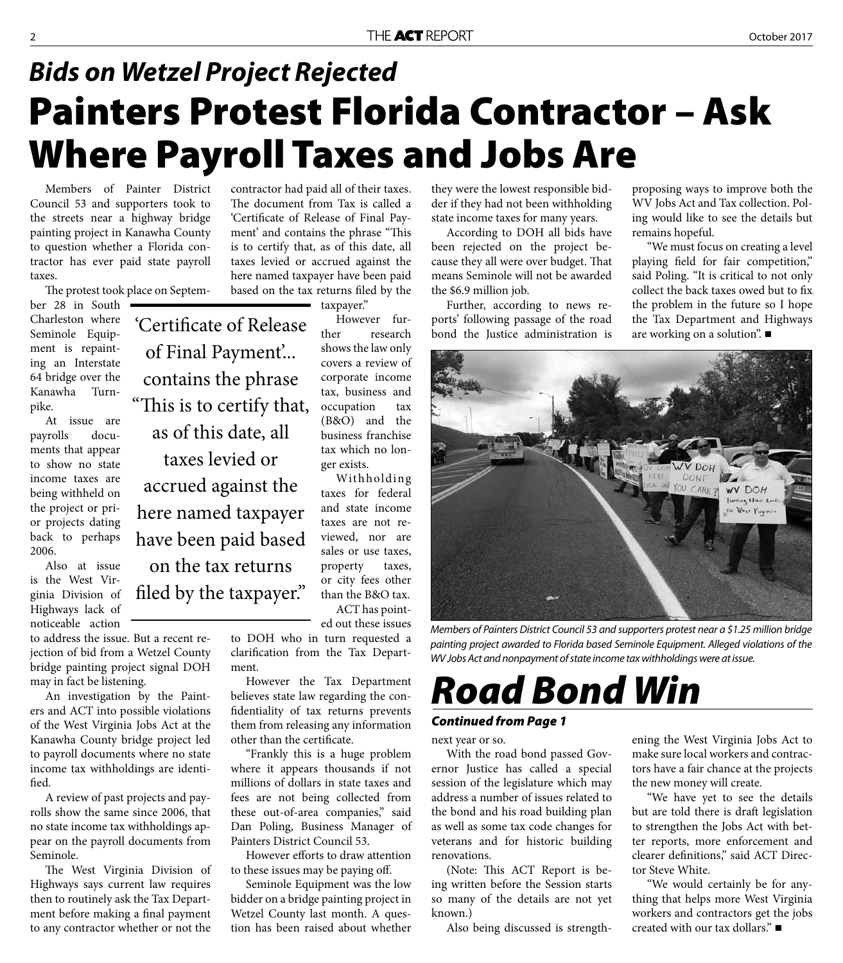### **Painters Protest Florida Contractor – Ask Where Payroll Taxes and Jobs Are** *Bids on Wetzel Project Rejected*

Members of Painter District Council 53 and supporters took to the streets near a highway bridge painting project in Kanawha County to question whether a Florida contractor has ever paid state payroll taxes.

The protest took place on Septem-

'Certificate of Release

of Final Payment'...

contains the phrase

"This is to certify that,

as of this date, all

taxes levied or

accrued against the

here named taxpayer

have been paid based

on the tax returns

filed by the taxpayer."

ber 28 in South Charleston where Seminole Equipment is repainting an Interstate 64 bridge over the Kanawha Turnpike.

At issue are payrolls documents that appear to show no state income taxes are being withheld on the project or prior projects dating back to perhaps 2006.

Also at issue is the West Virginia Division of Highways lack of noticeable action

to address the issue. But a recent rejection of bid from a Wetzel County bridge painting project signal DOH may in fact be listening.

An investigation by the Painters and ACT into possible violations of the West Virginia Jobs Act at the Kanawha County bridge project led to payroll documents where no state income tax withholdings are identified.

A review of past projects and payrolls show the same since 2006, that no state income tax withholdings appear on the payroll documents from Seminole.

The West Virginia Division of Highways says current law requires then to routinely ask the Tax Department before making a final payment to any contractor whether or not the

contractor had paid all of their taxes. The document from Tax is called a 'Certificate of Release of Final Payment' and contains the phrase "This is to certify that, as of this date, all taxes levied or accrued against the here named taxpayer have been paid based on the tax returns filed by the

taxpayer."

However further research shows the law only covers a review of corporate income tax, business and occupation tax (B&O) and the business franchise tax which no longer exists.

Withholding taxes for federal and state income taxes are not reviewed, nor are sales or use taxes, property taxes, or city fees other than the B&O tax. ACT has point-

ed out these issues to DOH who in turn requested a clarification from the Tax Depart-

ment. However the Tax Department believes state law regarding the confidentiality of tax returns prevents them from releasing any information other than the certificate.

"Frankly this is a huge problem where it appears thousands if not millions of dollars in state taxes and fees are not being collected from these out-of-area companies," said Dan Poling, Business Manager of Painters District Council 53.

However efforts to draw attention to these issues may be paying off.

Seminole Equipment was the low bidder on a bridge painting project in Wetzel County last month. A question has been raised about whether

they were the lowest responsible bidder if they had not been withholding state income taxes for many years.

According to DOH all bids have been rejected on the project because they all were over budget. That means Seminole will not be awarded the \$6.9 million job.

Further, according to news reports' following passage of the road bond the Justice administration is proposing ways to improve both the WV Jobs Act and Tax collection. Poling would like to see the details but remains hopeful.

"We must focus on creating a level playing field for fair competition," said Poling. "It is critical to not only collect the back taxes owed but to fix the problem in the future so I hope the Tax Department and Highways are working on a solution". ■

Members of Painters District Council 53 and supporters protest near a \$1.25 million bridge

painting project awarded to Florida based Seminole Equipment. Alleged violations of the WV Jobs Act and nonpayment of state income tax withholdings were at issue.

# *Road Bond Win*

*Continued from Page 1*

next year or so.

With the road bond passed Governor Justice has called a special session of the legislature which may address a number of issues related to the bond and his road building plan as well as some tax code changes for veterans and for historic building renovations.

(Note: This ACT Report is being written before the Session starts so many of the details are not yet known.)

Also being discussed is strength-

ening the West Virginia Jobs Act to make sure local workers and contractors have a fair chance at the projects the new money will create.

"We have yet to see the details but are told there is draft legislation to strengthen the Jobs Act with better reports, more enforcement and clearer definitions," said ACT Director Steve White.

"We would certainly be for anything that helps more West Virginia workers and contractors get the jobs created with our tax dollars."

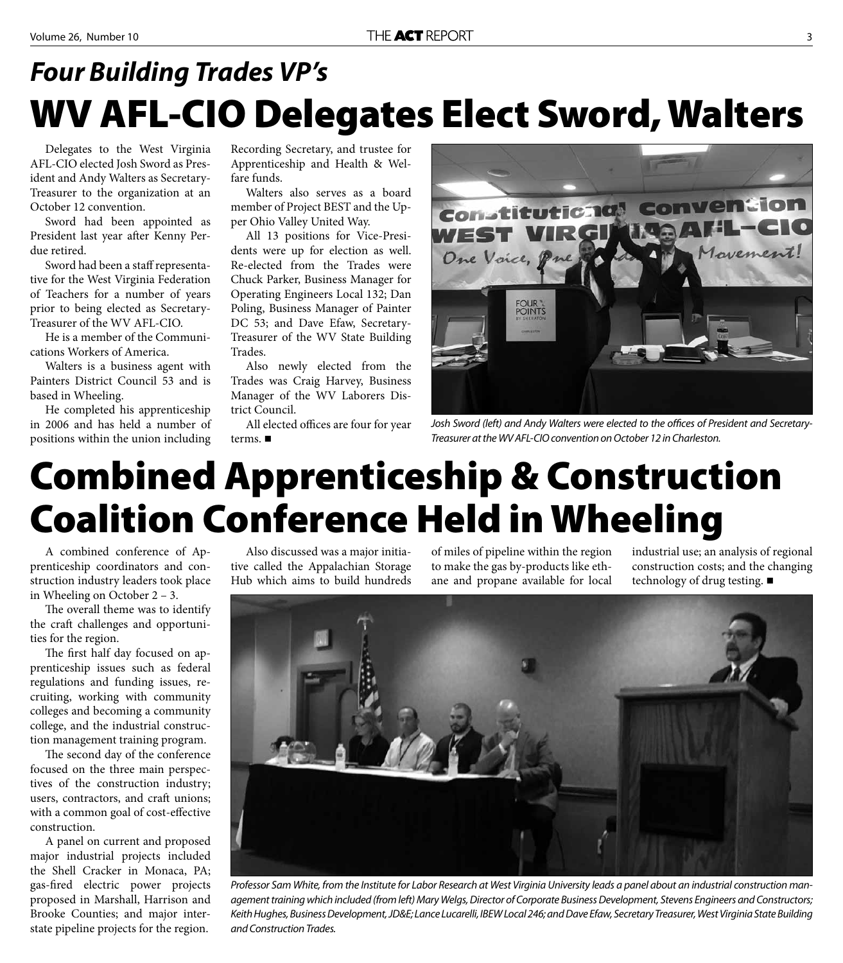### **WV AFL-CIO Delegates Elect Sword, Walters** *Four Building Trades VP's*

Delegates to the West Virginia AFL-CIO elected Josh Sword as President and Andy Walters as Secretary-Treasurer to the organization at an October 12 convention.

Sword had been appointed as President last year after Kenny Perdue retired.

Sword had been a staff representative for the West Virginia Federation of Teachers for a number of years prior to being elected as Secretary-Treasurer of the WV AFL-CIO.

He is a member of the Communications Workers of America.

Walters is a business agent with Painters District Council 53 and is based in Wheeling.

He completed his apprenticeship in 2006 and has held a number of positions within the union including

Recording Secretary, and trustee for Apprenticeship and Health & Welfare funds.

Walters also serves as a board member of Project BEST and the Upper Ohio Valley United Way.

All 13 positions for Vice-Presidents were up for election as well. Re-elected from the Trades were Chuck Parker, Business Manager for Operating Engineers Local 132; Dan Poling, Business Manager of Painter DC 53; and Dave Efaw, Secretary-Treasurer of the WV State Building Trades.

Also newly elected from the Trades was Craig Harvey, Business Manager of the WV Laborers District Council.

All elected offices are four for year terms. ■



Josh Sword (left) and Andy Walters were elected to the offices of President and Secretary-Treasurer at the WV AFL-CIO convention on October 12 in Charleston.

# **Combined Apprenticeship & Construction Coalition Conference Held in Wheeling**

A combined conference of Apprenticeship coordinators and construction industry leaders took place in Wheeling on October 2 – 3.

The overall theme was to identify the craft challenges and opportunities for the region.

The first half day focused on apprenticeship issues such as federal regulations and funding issues, recruiting, working with community colleges and becoming a community college, and the industrial construction management training program.

The second day of the conference focused on the three main perspectives of the construction industry; users, contractors, and craft unions; with a common goal of cost-effective construction.

A panel on current and proposed major industrial projects included the Shell Cracker in Monaca, PA; gas-fired electric power projects proposed in Marshall, Harrison and Brooke Counties; and major interstate pipeline projects for the region.

Also discussed was a major initiative called the Appalachian Storage Hub which aims to build hundreds of miles of pipeline within the region to make the gas by-products like ethane and propane available for local

industrial use; an analysis of regional construction costs; and the changing technology of drug testing. ■



Professor Sam White, from the Institute for Labor Research at West Virginia University leads a panel about an industrial construction management training which included (from left) Mary Welgs, Director of Corporate Business Development, Stevens Engineers and Constructors; Keith Hughes, Business Development, JD&E; Lance Lucarelli, IBEW Local 246; and Dave Efaw, Secretary Treasurer, West Virginia State Building and Construction Trades.